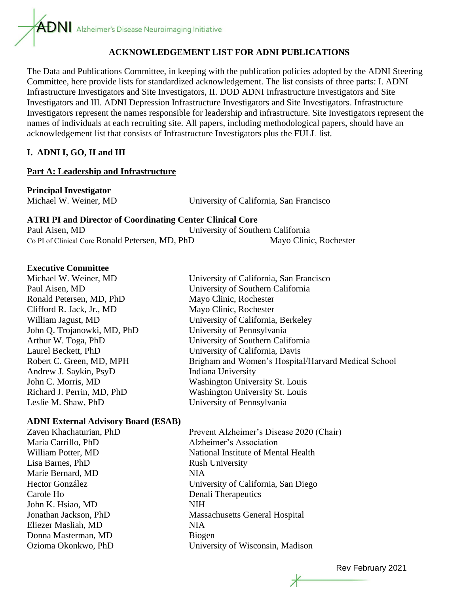#### **ACKNOWLEDGEMENT LIST FOR ADNI PUBLICATIONS**

The Data and Publications Committee, in keeping with the publication policies adopted by the ADNI Steering Committee, here provide lists for standardized acknowledgement. The list consists of three parts: I. ADNI Infrastructure Investigators and Site Investigators, II. DOD ADNI Infrastructure Investigators and Site Investigators and III. ADNI Depression Infrastructure Investigators and Site Investigators. Infrastructure Investigators represent the names responsible for leadership and infrastructure. Site Investigators represent the names of individuals at each recruiting site. All papers, including methodological papers, should have an acknowledgement list that consists of Infrastructure Investigators plus the FULL list.

#### **I. ADNI I, GO, II and III**

#### **Part A: Leadership and Infrastructure**

# **Principal Investigator**

Michael W. Weiner, MD University of California, San Francisco **ATRI PI and Director of Coordinating Center Clinical Core**

| ATKI I I and DIREGUI VI COVI dinamig Center Chineal Core |                                   |
|----------------------------------------------------------|-----------------------------------|
| Paul Aisen, MD                                           | University of Southern California |
| Co PI of Clinical Core Ronald Petersen, MD, PhD          | Mayo Clinic, Rochester            |

#### **Executive Committee**

Michael W. Weiner, MD University of California, San Francisco Paul Aisen, MD University of Southern California Ronald Petersen, MD, PhD Mayo Clinic, Rochester Clifford R. Jack, Jr., MD Mayo Clinic, Rochester William Jagust, MD University of California, Berkeley John Q. Trojanowki, MD, PhD University of Pennsylvania Arthur W. Toga, PhD University of Southern California Laurel Beckett, PhD University of California, Davis

# Robert C. Green, MD, MPH Brigham and Women's Hospital/Harvard Medical School Andrew J. Saykin, PsyD Indiana University John C. Morris, MD Washington University St. Louis Richard J. Perrin, MD, PhD Washington University St. Louis Leslie M. Shaw, PhD University of Pennsylvania

#### **ADNI External Advisory Board (ESAB)**

Lisa Barnes, PhD Rush University Marie Bernard, MD NIA Carole Ho Denali Therapeutics John K. Hsiao, MD NIH Eliezer Masliah, MD NIA Donna Masterman, MD Biogen

Zaven Khachaturian, PhD Prevent Alzheimer's Disease 2020 (Chair) Maria Carrillo, PhD Alzheimer's Association William Potter, MD National Institute of Mental Health Hector González University of California, San Diego Jonathan Jackson, PhD Massachusetts General Hospital Ozioma Okonkwo, PhD University of Wisconsin, Madison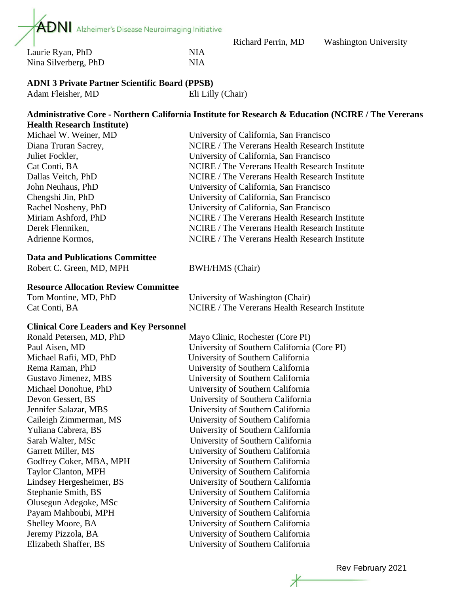

Laurie Ryan, PhD NIA Nina Silverberg, PhD NIA

# **ADNI 3 Private Partner Scientific Board (PPSB)**

Adam Fleisher, MD Eli Lilly (Chair)

#### **Administrative Core - Northern California Institute for Research & Education (NCIRE / The Vererans Health Research Institute)**

| Michael W. Weiner, MD | University of California, San Francisco        |
|-----------------------|------------------------------------------------|
| Diana Truran Sacrey,  | NCIRE / The Vererans Health Research Institute |
| Juliet Fockler,       | University of California, San Francisco        |
| Cat Conti, BA         | NCIRE / The Vererans Health Research Institute |
| Dallas Veitch, PhD    | NCIRE / The Vererans Health Research Institute |
| John Neuhaus, PhD     | University of California, San Francisco        |
| Chengshi Jin, PhD     | University of California, San Francisco        |
| Rachel Nosheny, PhD   | University of California, San Francisco        |
| Miriam Ashford, PhD   | NCIRE / The Vererans Health Research Institute |
| Derek Flenniken,      | NCIRE / The Vererans Health Research Institute |
| Adrienne Kormos,      | NCIRE / The Vererans Health Research Institute |
|                       |                                                |

#### **Data and Publications Committee**

Robert C. Green, MD, MPH BWH/HMS (Chair)

#### **Resource Allocation Review Committee**

| Tom Montine, MD, PhD | University of Washington (Chair)               |
|----------------------|------------------------------------------------|
| Cat Conti, BA        | NCIRE / The Vererans Health Research Institute |

#### **Clinical Core Leaders and Key Personnel**

Ronald Petersen, MD, PhD Mayo Clinic, Rochester (Core PI)

Paul Aisen, MD University of Southern California (Core PI) Michael Rafii, MD, PhD University of Southern California Rema Raman, PhD University of Southern California Gustavo Jimenez, MBS University of Southern California Michael Donohue, PhD University of Southern California Devon Gessert, BS University of Southern California Jennifer Salazar, MBS University of Southern California Caileigh Zimmerman, MS University of Southern California Yuliana Cabrera, BS University of Southern California Sarah Walter, MSc University of Southern California Garrett Miller, MS University of Southern California Godfrey Coker, MBA, MPH University of Southern California Taylor Clanton, MPH University of Southern California Lindsey Hergesheimer, BS University of Southern California Stephanie Smith, BS University of Southern California Olusegun Adegoke, MSc University of Southern California Payam Mahboubi, MPH University of Southern California Shelley Moore, BA University of Southern California Jeremy Pizzola, BA University of Southern California Elizabeth Shaffer, BS University of Southern California

Rev February 2021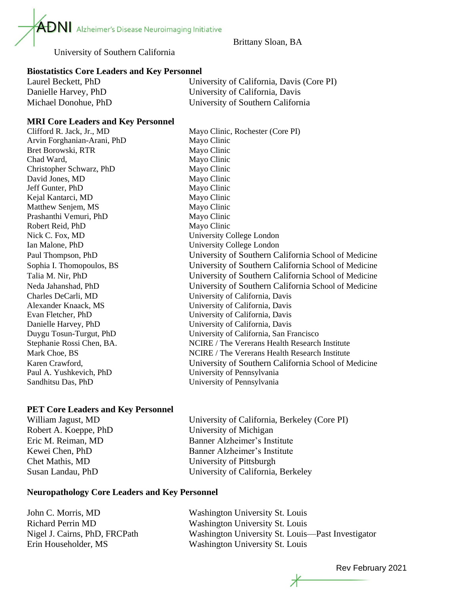$\mathbf{A}\mathbf{D}\mathbf{N}$  Alzheimer's Disease Neuroimaging Initiative

Brittany Sloan, BA

University of Southern California

# **Biostatistics Core Leaders and Key Personnel**

| Laurel Beckett, PhD  | University of California, Davis (Core PI) |
|----------------------|-------------------------------------------|
| Danielle Harvey, PhD | University of California, Davis           |
| Michael Donohue, PhD | University of Southern California         |

# **MRI Core Leaders and Key Personnel**

Clifford R. Jack, Jr., MD Mayo Clinic, Rochester (Core PI) Arvin Forghanian-Arani, PhD Mayo Clinic Bret Borowski, RTR Mayo Clinic Chad Ward, Mayo Clinic Christopher Schwarz, PhD Mayo Clinic David Jones, MD Mayo Clinic Jeff Gunter, PhD Mayo Clinic Kejal Kantarci, MD Mayo Clinic Matthew Senjem, MS Mayo Clinic Prashanthi Vemuri, PhD Mayo Clinic Robert Reid, PhD Mayo Clinic Nick C. Fox, MD University College London Ian Malone, PhD University College London Paul Thompson, PhD University of Southern California School of Medicine Sophia I. Thomopoulos, BS University of Southern California School of Medicine Talia M. Nir, PhD University of Southern California School of Medicine Neda Jahanshad, PhD University of Southern California School of Medicine Charles DeCarli, MD University of California, Davis Alexander Knaack, MS University of California, Davis Evan Fletcher, PhD University of California, Davis Danielle Harvey, PhD University of California, Davis Duygu Tosun-Turgut, PhD University of California, San Francisco Stephanie Rossi Chen, BA. NCIRE / The Vererans Health Research Institute Mark Choe, BS NCIRE / The Vererans Health Research Institute Karen Crawford, University of Southern California School of Medicine Paul A. Yushkevich, PhD University of Pennsylvania Sandhitsu Das, PhD University of Pennsylvania

# **PET Core Leaders and Key Personnel**

William Jagust, MD University of California, Berkeley (Core PI) Robert A. Koeppe, PhD University of Michigan Eric M. Reiman, MD Banner Alzheimer's Institute Kewei Chen, PhD Banner Alzheimer's Institute Chet Mathis, MD University of Pittsburgh Susan Landau, PhD University of California, Berkeley

# **Neuropathology Core Leaders and Key Personnel**

John C. Morris, MD Washington University St. Louis Richard Perrin MD Washington University St. Louis Nigel J. Cairns, PhD, FRCPath Washington University St. Louis—Past Investigator Erin Householder, MS Washington University St. Louis

Rev February 2021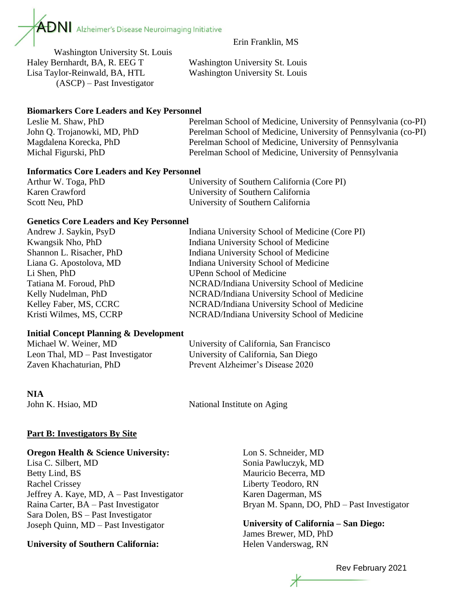

Erin Franklin, MS

Washington University St. Louis Haley Bernhardt, BA, R. EEG T Washington University St. Louis Lisa Taylor-Reinwald, BA, HTL Washington University St. Louis (ASCP) – Past Investigator

#### **Biomarkers Core Leaders and Key Personnel**

| Leslie M. Shaw, PhD         | Perelman School of Medicine, University of Pennsylvania (co-PI) |
|-----------------------------|-----------------------------------------------------------------|
| John Q. Trojanowki, MD, PhD | Perelman School of Medicine, University of Pennsylvania (co-PI) |
| Magdalena Korecka, PhD      | Perelman School of Medicine, University of Pennsylvania         |
| Michal Figurski, PhD        | Perelman School of Medicine, University of Pennsylvania         |

#### **Informatics Core Leaders and Key Personnel**

| Arthur W. Toga, PhD | University of Southern California (Core PI) |
|---------------------|---------------------------------------------|
| Karen Crawford      | University of Southern California           |
| Scott Neu, PhD      | University of Southern California           |

#### **Genetics Core Leaders and Key Personnel**

| Andrew J. Saykin, PsyD   | Indiana University School of Medicine (Core PI) |
|--------------------------|-------------------------------------------------|
| Kwangsik Nho, PhD        | Indiana University School of Medicine           |
| Shannon L. Risacher, PhD | Indiana University School of Medicine           |
| Liana G. Apostolova, MD  | Indiana University School of Medicine           |
| Li Shen, PhD             | <b>UPenn School of Medicine</b>                 |
| Tatiana M. Foroud, PhD   | NCRAD/Indiana University School of Medicine     |
| Kelly Nudelman, PhD      | NCRAD/Indiana University School of Medicine     |
| Kelley Faber, MS, CCRC   | NCRAD/Indiana University School of Medicine     |
| Kristi Wilmes, MS, CCRP  | NCRAD/Indiana University School of Medicine     |
|                          |                                                 |

# **Initial Concept Planning & Development**

| Michael W. Weiner, MD             | University of California, San Francisco |
|-----------------------------------|-----------------------------------------|
| Leon Thal, MD – Past Investigator | University of California, San Diego     |
| Zaven Khachaturian, PhD           | Prevent Alzheimer's Disease 2020        |

# **NIA**

John K. Hsiao, MD National Institute on Aging

# **Part B: Investigators By Site**

#### **Oregon Health & Science University:**

Lisa C. Silbert, MD Betty Lind, BS Rachel Crissey Jeffrey A. Kaye, MD, A – Past Investigator Raina Carter, BA – Past Investigator Sara Dolen, BS – Past Investigator Joseph Quinn, MD – Past Investigator

# **University of Southern California:**

Lon S. Schneider, MD Sonia Pawluczyk, MD Mauricio Becerra, MD Liberty Teodoro, RN Karen Dagerman, MS Bryan M. Spann, DO, PhD – Past Investigator

**University of California – San Diego:** James Brewer, MD, PhD Helen Vanderswag, RN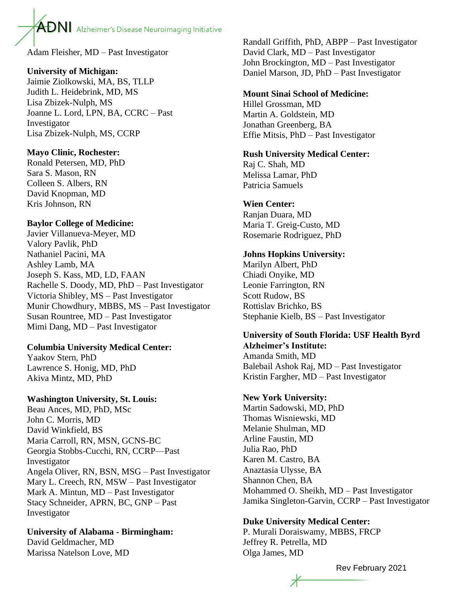Adam Fleisher, MD – Past Investigator

# **University of Michigan:**

Jaimie Ziolkowski, MA, BS, TLLP Judith L. Heidebrink, MD, MS Lisa Zbizek-Nulph, MS Joanne L. Lord, LPN, BA, CCRC – Past Investigator Lisa Zbizek-Nulph, MS, CCRP

# **Mayo Clinic, Rochester:**

Ronald Petersen, MD, PhD Sara S. Mason, RN Colleen S. Albers, RN David Knopman, MD Kris Johnson, RN

# **Baylor College of Medicine:**

Javier Villanueva-Meyer, MD Valory Pavlik, PhD Nathaniel Pacini, MA Ashley Lamb, MA Joseph S. Kass, MD, LD, FAAN Rachelle S. Doody, MD, PhD – Past Investigator Victoria Shibley, MS – Past Investigator Munir Chowdhury, MBBS, MS – Past Investigator Susan Rountree, MD – Past Investigator Mimi Dang, MD – Past Investigator

# **Columbia University Medical Center:**

Yaakov Stern, PhD Lawrence S. Honig, MD, PhD Akiva Mintz, MD, PhD

# **Washington University, St. Louis:**

Beau Ances, MD, PhD, MSc John C. Morris, MD David Winkfield, BS Maria Carroll, RN, MSN, GCNS-BC Georgia Stobbs-Cucchi, RN, CCRP—Past Investigator Angela Oliver, RN, BSN, MSG – Past Investigator Mary L. Creech, RN, MSW – Past Investigator Mark A. Mintun, MD – Past Investigator Stacy Schneider, APRN, BC, GNP – Past Investigator

**University of Alabama - Birmingham:**  David Geldmacher, MD Marissa Natelson Love, MD

Randall Griffith, PhD, ABPP – Past Investigator David Clark, MD – Past Investigator John Brockington, MD – Past Investigator Daniel Marson, JD, PhD – Past Investigator

# **Mount Sinai School of Medicine:**

Hillel Grossman, MD Martin A. Goldstein, MD Jonathan Greenberg, BA Effie Mitsis, PhD – Past Investigator

#### **Rush University Medical Center:**

Raj C. Shah, MD Melissa Lamar, PhD Patricia Samuels

# **Wien Center:**

Ranjan Duara, MD Maria T. Greig-Custo, MD Rosemarie Rodriguez, PhD

# **Johns Hopkins University:**

Marilyn Albert, PhD Chiadi Onyike, MD Leonie Farrington, RN Scott Rudow, BS Rottislav Brichko, BS Stephanie Kielb, BS – Past Investigator

# **University of South Florida: USF Health Byrd Alzheimer's Institute:**

Amanda Smith, MD Balebail Ashok Raj, MD – Past Investigator Kristin Fargher, MD – Past Investigator

# **New York University:**

Martin Sadowski, MD, PhD Thomas Wisniewski, MD Melanie Shulman, MD Arline Faustin, MD Julia Rao, PhD Karen M. Castro, BA Anaztasia Ulysse, BA Shannon Chen, BA Mohammed O. Sheikh, MD – Past Investigator Jamika Singleton-Garvin, CCRP – Past Investigator

# **Duke University Medical Center:**

P. Murali Doraiswamy, MBBS, FRCP Jeffrey R. Petrella, MD Olga James, MD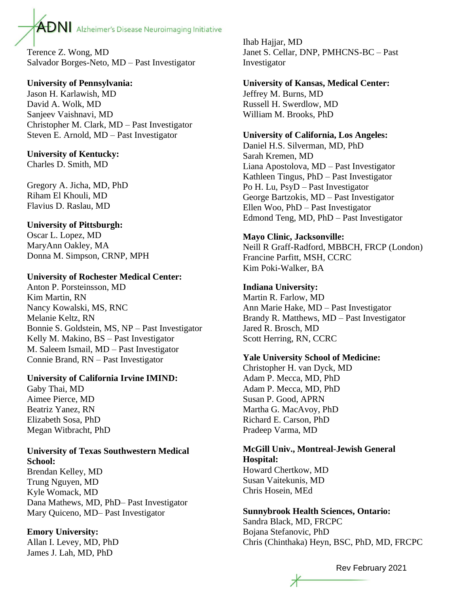Terence Z. Wong, MD Salvador Borges-Neto, MD – Past Investigator

# **University of Pennsylvania:**

Jason H. Karlawish, MD David A. Wolk, MD Sanjeev Vaishnavi, MD Christopher M. Clark, MD – Past Investigator Steven E. Arnold, MD – Past Investigator

# **University of Kentucky:**

Charles D. Smith, MD

Gregory A. Jicha, MD, PhD Riham El Khouli, MD Flavius D. Raslau, MD

# **University of Pittsburgh:**

Oscar L. Lopez, MD MaryAnn Oakley, MA Donna M. Simpson, CRNP, MPH

# **University of Rochester Medical Center:**

Anton P. Porsteinsson, MD Kim Martin, RN Nancy Kowalski, MS, RNC Melanie Keltz, RN Bonnie S. Goldstein, MS, NP – Past Investigator Kelly M. Makino, BS – Past Investigator M. Saleem Ismail, MD – Past Investigator Connie Brand, RN – Past Investigator

# **University of California Irvine IMIND:**

Gaby Thai, MD Aimee Pierce, MD Beatriz Yanez, RN Elizabeth Sosa, PhD Megan Witbracht, PhD

# **University of Texas Southwestern Medical School:**

Brendan Kelley, MD Trung Nguyen, MD Kyle Womack, MD Dana Mathews, MD, PhD– Past Investigator Mary Quiceno, MD– Past Investigator

# **Emory University:**

Allan I. Levey, MD, PhD James J. Lah, MD, PhD

Ihab Hajjar, MD Janet S. Cellar, DNP, PMHCNS-BC – Past Investigator

# **University of Kansas, Medical Center:**

Jeffrey M. Burns, MD Russell H. Swerdlow, MD William M. Brooks, PhD

# **University of California, Los Angeles:**

Daniel H.S. Silverman, MD, PhD Sarah Kremen, MD Liana Apostolova, MD – Past Investigator Kathleen Tingus, PhD – Past Investigator Po H. Lu, PsyD – Past Investigator George Bartzokis, MD – Past Investigator Ellen Woo, PhD – Past Investigator Edmond Teng, MD, PhD – Past Investigator

# **Mayo Clinic, Jacksonville:**

Neill R Graff-Radford, MBBCH, FRCP (London) Francine Parfitt, MSH, CCRC Kim Poki-Walker, BA

# **Indiana University:**

Martin R. Farlow, MD Ann Marie Hake, MD – Past Investigator Brandy R. Matthews, MD – Past Investigator Jared R. Brosch, MD Scott Herring, RN, CCRC

# **Yale University School of Medicine:**

Christopher H. van Dyck, MD Adam P. Mecca, MD, PhD Adam P. Mecca, MD, PhD Susan P. Good, APRN Martha G. MacAvoy, PhD Richard E. Carson, PhD Pradeep Varma, MD

# **McGill Univ., Montreal-Jewish General Hospital:**  Howard Chertkow, MD Susan Vaitekunis, MD

Chris Hosein, MEd

# **Sunnybrook Health Sciences, Ontario:**

Sandra Black, MD, FRCPC Bojana Stefanovic, PhD Chris (Chinthaka) Heyn, BSC, PhD, MD, FRCPC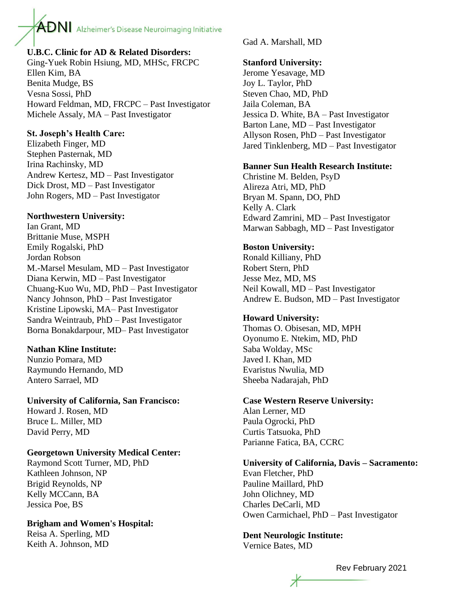# **U.B.C. Clinic for AD & Related Disorders:**

Ging-Yuek Robin Hsiung, MD, MHSc, FRCPC Ellen Kim, BA Benita Mudge, BS Vesna Sossi, PhD Howard Feldman, MD, FRCPC – Past Investigator Michele Assaly, MA – Past Investigator

# **St. Joseph's Health Care:**

Elizabeth Finger, MD Stephen Pasternak, MD Irina Rachinsky, MD Andrew Kertesz, MD – Past Investigator Dick Drost, MD – Past Investigator John Rogers, MD – Past Investigator

# **Northwestern University:**

Ian Grant, MD Brittanie Muse, MSPH Emily Rogalski, PhD Jordan Robson M.-Marsel Mesulam, MD – Past Investigator Diana Kerwin, MD – Past Investigator Chuang-Kuo Wu, MD, PhD – Past Investigator Nancy Johnson, PhD – Past Investigator Kristine Lipowski, MA– Past Investigator Sandra Weintraub, PhD – Past Investigator Borna Bonakdarpour, MD– Past Investigator

# **Nathan Kline Institute:**

Nunzio Pomara, MD Raymundo Hernando, MD Antero Sarrael, MD

# **University of California, San Francisco:**

Howard J. Rosen, MD Bruce L. Miller, MD David Perry, MD

# **Georgetown University Medical Center:**

Raymond Scott Turner, MD, PhD Kathleen Johnson, NP Brigid Reynolds, NP Kelly MCCann, BA Jessica Poe, BS

# **Brigham and Women's Hospital:**

Reisa A. Sperling, MD Keith A. Johnson, MD

Gad A. Marshall, MD

# **Stanford University:**

Jerome Yesavage, MD Joy L. Taylor, PhD Steven Chao, MD, PhD Jaila Coleman, BA Jessica D. White, BA – Past Investigator Barton Lane, MD – Past Investigator Allyson Rosen, PhD – Past Investigator Jared Tinklenberg, MD – Past Investigator

# **Banner Sun Health Research Institute:**

Christine M. Belden, PsyD Alireza Atri, MD, PhD Bryan M. Spann, DO, PhD Kelly A. Clark Edward Zamrini, MD – Past Investigator Marwan Sabbagh, MD – Past Investigator

# **Boston University:**

Ronald Killiany, PhD Robert Stern, PhD Jesse Mez, MD, MS Neil Kowall, MD – Past Investigator Andrew E. Budson, MD – Past Investigator

# **Howard University:**

Thomas O. Obisesan, MD, MPH Oyonumo E. Ntekim, MD, PhD Saba Wolday, MSc Javed I. Khan, MD Evaristus Nwulia, MD Sheeba Nadarajah, PhD

# **Case Western Reserve University:**

Alan Lerner, MD Paula Ogrocki, PhD Curtis Tatsuoka, PhD Parianne Fatica, BA, CCRC

# **University of California, Davis – Sacramento:**

Evan Fletcher, PhD Pauline Maillard, PhD John Olichney, MD Charles DeCarli, MD Owen Carmichael, PhD – Past Investigator

# **Dent Neurologic Institute:**

Vernice Bates, MD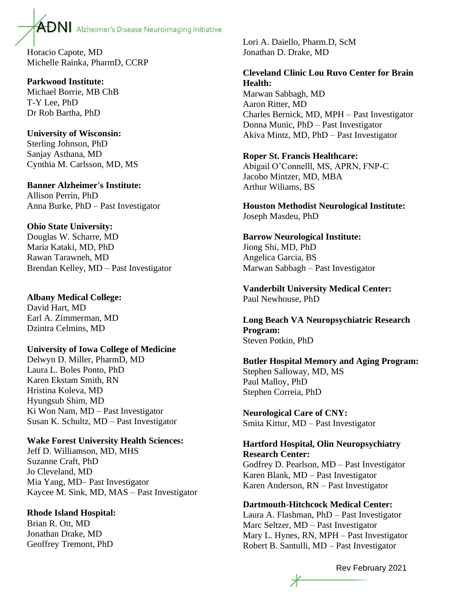Horacio Capote, MD Michelle Rainka, PharmD, CCRP

**Parkwood Institute:** Michael Borrie, MB ChB T-Y Lee, PhD Dr Rob Bartha, PhD

**University of Wisconsin:** Sterling Johnson, PhD Sanjay Asthana, MD Cynthia M. Carlsson, MD, MS

**Banner Alzheimer's Institute:** Allison Perrin, PhD Anna Burke, PhD – Past Investigator

#### **Ohio State University:**

Douglas W. Scharre, MD Maria Kataki, MD, PhD Rawan Tarawneh, MD Brendan Kelley, MD – Past Investigator

**Albany Medical College:** David Hart, MD Earl A. Zimmerman, MD Dzintra Celmins, MD

#### **University of Iowa College of Medicine**

Delwyn D. Miller, PharmD, MD Laura L. Boles Ponto, PhD Karen Ekstam Smith, RN Hristina Koleva, MD Hyungsub Shim, MD Ki Won Nam, MD – Past Investigator Susan K. Schultz, MD – Past Investigator

# **Wake Forest University Health Sciences:**

Jeff D. Williamson, MD, MHS Suzanne Craft, PhD Jo Cleveland, MD Mia Yang, MD– Past Investigator Kaycee M. Sink, MD, MAS – Past Investigator

#### **Rhode Island Hospital:**

Brian R. Ott, MD Jonathan Drake, MD Geoffrey Tremont, PhD Lori A. Daiello, Pharm.D, ScM Jonathan D. Drake, MD

# **Cleveland Clinic Lou Ruvo Center for Brain Health:**

Marwan Sabbagh, MD Aaron Ritter, MD Charles Bernick, MD, MPH – Past Investigator Donna Munic, PhD – Past Investigator Akiva Mintz, MD, PhD – Past Investigator

#### **Roper St. Francis Healthcare:**

Abigail O'Connelll, MS, APRN, FNP-C Jacobo Mintzer, MD, MBA Arthur Wiliams, BS

**Houston Methodist Neurological Institute:**  Joseph Masdeu, PhD

**Barrow Neurological Institute:** Jiong Shi, MD, PhD Angelica Garcia, BS Marwan Sabbagh – Past Investigator

**Vanderbilt University Medical Center:** Paul Newhouse, PhD

**Long Beach VA Neuropsychiatric Research Program:** Steven Potkin, PhD

**Butler Hospital Memory and Aging Program:** Stephen Salloway, MD, MS Paul Malloy, PhD Stephen Correia, PhD

**Neurological Care of CNY:** Smita Kittur, MD – Past Investigator

**Hartford Hospital, Olin Neuropsychiatry Research Center:** Godfrey D. Pearlson, MD – Past Investigator Karen Blank, MD – Past Investigator Karen Anderson, RN – Past Investigator

#### **Dartmouth-Hitchcock Medical Center:**

Laura A. Flashman, PhD – Past Investigator Marc Seltzer, MD – Past Investigator Mary L. Hynes, RN, MPH – Past Investigator Robert B. Santulli, MD – Past Investigator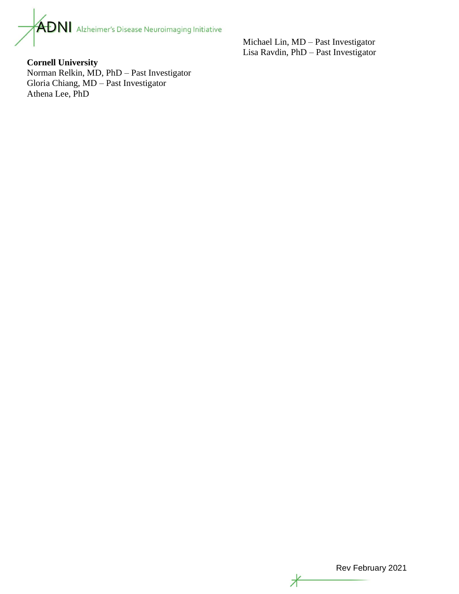

Michael Lin, MD – Past Investigator Lisa Ravdin, PhD – Past Investigator

**Cornell University** Norman Relkin, MD, PhD – Past Investigator Gloria Chiang, MD – Past Investigator Athena Lee, PhD

Rev February 2021

z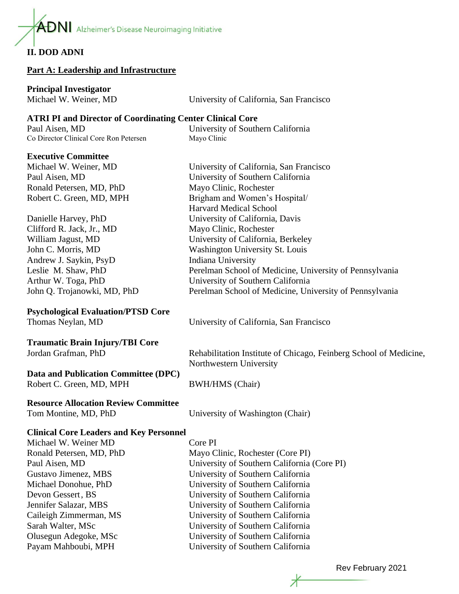$\mathbf{ADN}$  Alzheimer's Disease Neuroimaging Initiative

# **II. DOD ADNI**

#### **Part A: Leadership and Infrastructure**

# **Principal Investigator**

| Michael W. Weiner, MD | University of California, San Francisco |
|-----------------------|-----------------------------------------|
|-----------------------|-----------------------------------------|

# **ATRI PI and Director of Coordinating Center Clinical Core**

Paul Aisen, MD University of Southern California Co Director Clinical Core Ron Petersen Mayo Clinic

Harvard Medical School

# **Executive Committee**

Michael W. Weiner, MD University of California, San Francisco Paul Aisen, MD University of Southern California Ronald Petersen, MD, PhD Mayo Clinic, Rochester Robert C. Green, MD, MPH Brigham and Women's Hospital/

Danielle Harvey, PhD University of California, Davis Clifford R. Jack, Jr., MD Mayo Clinic, Rochester William Jagust, MD University of California, Berkeley John C. Morris, MD Washington University St. Louis Andrew J. Saykin, PsyD Indiana University Leslie M. Shaw, PhD Perelman School of Medicine, University of Pennsylvania Arthur W. Toga, PhD University of Southern California John Q. Trojanowki, MD, PhD Perelman School of Medicine, University of Pennsylvania

# **Psychological Evaluation/PTSD Core**

Thomas Neylan, MD University of California, San Francisco

# **Traumatic Brain Injury/TBI Core**

# **Data and Publication Committee (DPC)**

Robert C. Green, MD, MPH BWH/HMS (Chair)

# **Resource Allocation Review Committee**

Jordan Grafman, PhD Rehabilitation Institute of Chicago, Feinberg School of Medicine, Northwestern University

Tom Montine, MD, PhD University of Washington (Chair)

# **Clinical Core Leaders and Key Personnel**

| Michael W. Weiner MD     |
|--------------------------|
| Ronald Petersen, MD, PhD |
| Paul Aisen, MD           |
| Gustavo Jimenez, MBS     |
| Michael Donohue, PhD     |
| Devon Gessert, BS        |
| Jennifer Salazar, MBS    |
| Caileigh Zimmerman, MS   |
| Sarah Walter, MSc        |
| Olusegun Adegoke, MSc    |
| Payam Mahboubi, MPH      |

Core PI Mayo Clinic, Rochester (Core PI) University of Southern California (Core PI) University of Southern California University of Southern California University of Southern California University of Southern California University of Southern California University of Southern California University of Southern California University of Southern California

Rev February 2021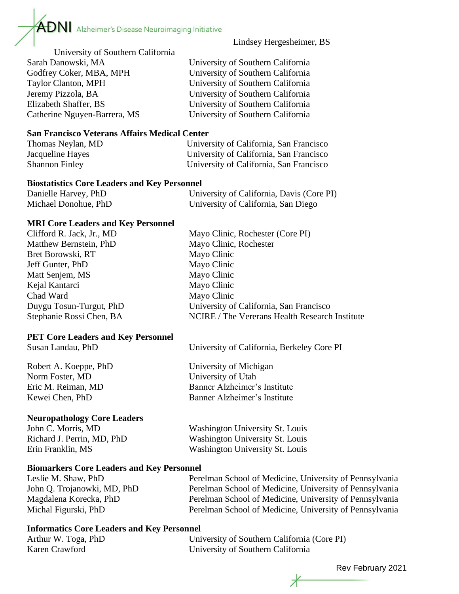

Lindsey Hergesheimer, BS

University of Southern California Sarah Danowski, MA University of Southern California Godfrey Coker, MBA, MPH University of Southern California Taylor Clanton, MPH University of Southern California Jeremy Pizzola, BA University of Southern California Elizabeth Shaffer, BS University of Southern California

Catherine Nguyen-Barrera, MS University of Southern California

# **San Francisco Veterans Affairs Medical Center**

Thomas Neylan, MD University of California, San Francisco Jacqueline Hayes University of California, San Francisco Shannon Finley University of California, San Francisco

#### **Biostatistics Core Leaders and Key Personnel**

| Danielle Harvey, PhD | University of California, Davis (Core PI) |
|----------------------|-------------------------------------------|
| Michael Donohue, PhD | University of California, San Diego       |

# **MRI Core Leaders and Key Personnel**

| Clifford R. Jack, Jr., MD | Mayo Clinic, Rochester (Core PI)               |
|---------------------------|------------------------------------------------|
| Matthew Bernstein, PhD    | Mayo Clinic, Rochester                         |
| Bret Borowski, RT         | Mayo Clinic                                    |
| Jeff Gunter, PhD          | Mayo Clinic                                    |
| Matt Senjem, MS           | Mayo Clinic                                    |
| Kejal Kantarci            | Mayo Clinic                                    |
| Chad Ward                 | Mayo Clinic                                    |
| Duygu Tosun-Turgut, PhD   | University of California, San Francisco        |
| Stephanie Rossi Chen, BA  | NCIRE / The Vererans Health Research Institute |
|                           |                                                |

# **PET Core Leaders and Key Personnel**

Susan Landau, PhD University of California, Berkeley Core PI

Robert A. Koeppe, PhD University of Michigan Norm Foster, MD University of Utah Eric M. Reiman, MD Banner Alzheimer's Institute Kewei Chen, PhD Banner Alzheimer's Institute

# **Neuropathology Core Leaders**

John C. Morris, MD<br>
Richard I. Perrin MD. PhD Washington University St. Louis<br>
Washington University St. Louis Richard J. Perrin, MD, PhD

| RICHAIU J. PUIIII, MD, FIID | Washington University St. Louis |
|-----------------------------|---------------------------------|
| Erin Franklin, MS           | Washington University St. Louis |
|                             |                                 |

# **Biomarkers Core Leaders and Key Personnel**

Leslie M. Shaw, PhD Perelman School of Medicine, University of Pennsylvania John Q. Trojanowki, MD, PhD Perelman School of Medicine, University of Pennsylvania Magdalena Korecka, PhD Perelman School of Medicine, University of Pennsylvania Michal Figurski, PhD Perelman School of Medicine, University of Pennsylvania

# **Informatics Core Leaders and Key Personnel**

Arthur W. Toga, PhD University of Southern California (Core PI) Karen Crawford University of Southern California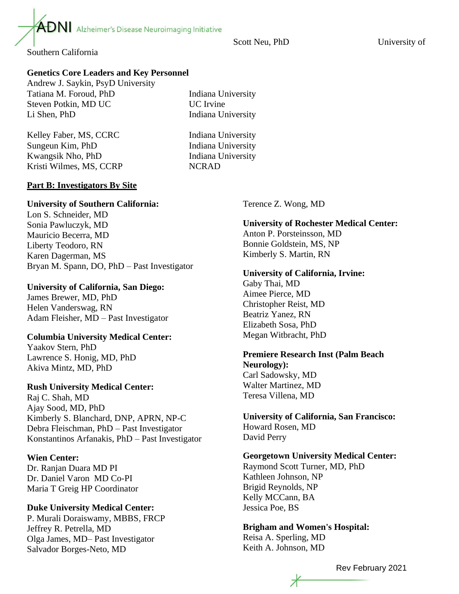Scott Neu, PhD University of

Southern California

# **Genetics Core Leaders and Key Personnel**

 $\overline{ADN}$  Alzheimer's Disease Neuroimaging Initiative

Andrew J. Saykin, PsyD University Tatiana M. Foroud, PhD Indiana University Steven Potkin, MD UC VC UC Irvine Li Shen, PhD Indiana University

Kelley Faber, MS, CCRC Indiana University Sungeun Kim, PhD Indiana University Kwangsik Nho, PhD Indiana University Kristi Wilmes, MS, CCRP NCRAD

# **Part B: Investigators By Site**

#### **University of Southern California:**

Lon S. Schneider, MD Sonia Pawluczyk, MD Mauricio Becerra, MD Liberty Teodoro, RN Karen Dagerman, MS Bryan M. Spann, DO, PhD – Past Investigator

# **University of California, San Diego:**

James Brewer, MD, PhD Helen Vanderswag, RN Adam Fleisher, MD – Past Investigator

# **Columbia University Medical Center:**

Yaakov Stern, PhD Lawrence S. Honig, MD, PhD Akiva Mintz, MD, PhD

# **Rush University Medical Center:**

Raj C. Shah, MD Ajay Sood, MD, PhD Kimberly S. Blanchard, DNP, APRN, NP-C Debra Fleischman, PhD – Past Investigator Konstantinos Arfanakis, PhD – Past Investigator

#### **Wien Center:**

Dr. Ranjan Duara MD PI Dr. Daniel Varon MD Co-PI Maria T Greig HP Coordinator

# **Duke University Medical Center:**

P. Murali Doraiswamy, MBBS, FRCP Jeffrey R. Petrella, MD Olga James, MD– Past Investigator Salvador Borges-Neto, MD

Terence Z. Wong, MD

**University of Rochester Medical Center:** Anton P. Porsteinsson, MD Bonnie Goldstein, MS, NP Kimberly S. Martin, RN

#### **University of California, Irvine:**

Gaby Thai, MD Aimee Pierce, MD Christopher Reist, MD Beatriz Yanez, RN Elizabeth Sosa, PhD Megan Witbracht, PhD

#### **Premiere Research Inst (Palm Beach Neurology):** Carl Sadowsky, MD

Walter Martinez, MD Teresa Villena, MD

**University of California, San Francisco:** Howard Rosen, MD David Perry

# **Georgetown University Medical Center:**

Raymond Scott Turner, MD, PhD Kathleen Johnson, NP Brigid Reynolds, NP Kelly MCCann, BA Jessica Poe, BS

**Brigham and Women's Hospital:**  Reisa A. Sperling, MD Keith A. Johnson, MD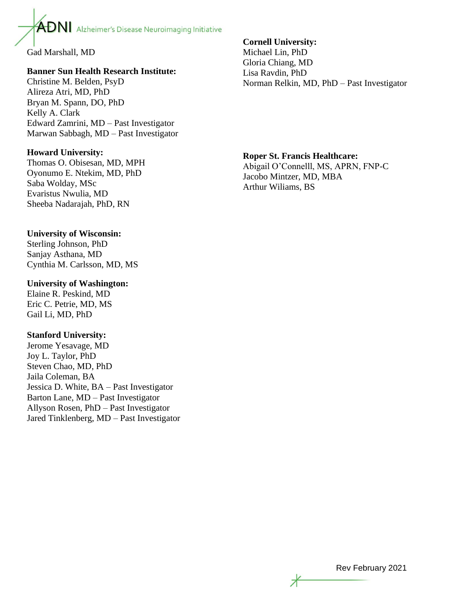

Gad Marshall, MD

# **Banner Sun Health Research Institute:**

Christine M. Belden, PsyD Alireza Atri, MD, PhD Bryan M. Spann, DO, PhD Kelly A. Clark Edward Zamrini, MD – Past Investigator Marwan Sabbagh, MD – Past Investigator

# **Howard University:**

Thomas O. Obisesan, MD, MPH Oyonumo E. Ntekim, MD, PhD Saba Wolday, MSc Evaristus Nwulia, MD Sheeba Nadarajah, PhD, RN

# **University of Wisconsin:**

Sterling Johnson, PhD Sanjay Asthana, MD Cynthia M. Carlsson, MD, MS

# **University of Washington:**

Elaine R. Peskind, MD Eric C. Petrie, MD, MS Gail Li, MD, PhD

# **Stanford University:**

Jerome Yesavage, MD Joy L. Taylor, PhD Steven Chao, MD, PhD Jaila Coleman, BA Jessica D. White, BA – Past Investigator Barton Lane, MD – Past Investigator Allyson Rosen, PhD – Past Investigator Jared Tinklenberg, MD – Past Investigator

# **Cornell University:**

Michael Lin, PhD Gloria Chiang, MD Lisa Ravdin, PhD Norman Relkin, MD, PhD – Past Investigator

# **Roper St. Francis Healthcare:**

Abigail O'Connelll, MS, APRN, FNP-C Jacobo Mintzer, MD, MBA Arthur Wiliams, BS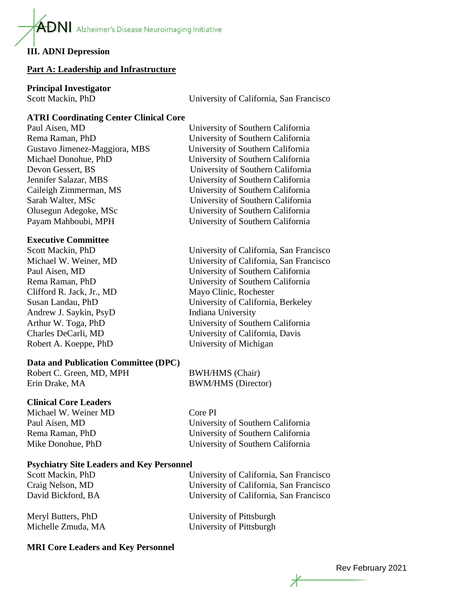$\mathbf{A}$ DNI Alzheimer's Disease Neuroimaging Initiative

# **III. ADNI Depression**

#### **Part A: Leadership and Infrastructure**

# **Principal Investigator**

Scott Mackin, PhD University of California, San Francisco

# **ATRI Coordinating Center Clinical Core**

# **Executive Committee**

Clifford R. Jack, Jr., MD Mayo Clinic, Rochester Andrew J. Saykin, PsyD Indiana University

# **Data and Publication Committee (DPC)**

Robert C. Green, MD, MPH BWH/HMS (Chair) Erin Drake, MA BWM/HMS (Director)

# **Clinical Core Leaders**

Michael W. Weiner MD Core PI

Paul Aisen, MD University of Southern California Rema Raman, PhD University of Southern California Mike Donohue, PhD University of Southern California

# **Psychiatry Site Leaders and Key Personnel**

Scott Mackin, PhD University of California, San Francisco

Craig Nelson, MD University of California, San Francisco David Bickford, BA University of California, San Francisco

Meryl Butters, PhD University of Pittsburgh Michelle Zmuda, MA University of Pittsburgh

# **MRI Core Leaders and Key Personnel**

Paul Aisen, MD University of Southern California Rema Raman, PhD University of Southern California Gustavo Jimenez-Maggiora, MBS University of Southern California Michael Donohue, PhD University of Southern California Devon Gessert, BS University of Southern California Jennifer Salazar, MBS University of Southern California Caileigh Zimmerman, MS University of Southern California Sarah Walter, MSc University of Southern California Olusegun Adegoke, MSc University of Southern California Payam Mahboubi, MPH University of Southern California

Scott Mackin, PhD University of California, San Francisco Michael W. Weiner, MD University of California, San Francisco Paul Aisen, MD University of Southern California Rema Raman, PhD University of Southern California Susan Landau, PhD University of California, Berkeley Arthur W. Toga, PhD University of Southern California Charles DeCarli, MD University of California, Davis

Robert A. Koeppe, PhD University of Michigan